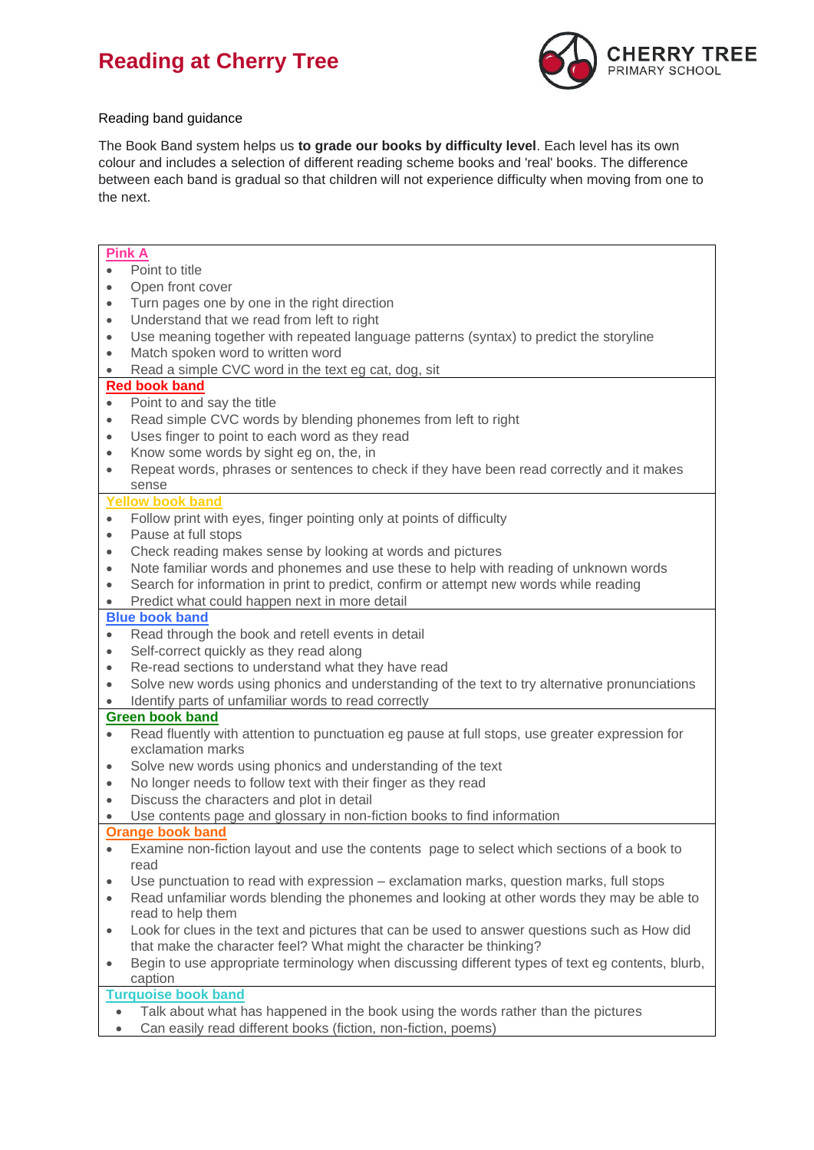# **Reading at Cherry Tree**



### Reading band guidance

The Book Band system helps us **to grade our books by difficulty level**. Each level has its own colour and includes a selection of different reading scheme books and 'real' books. The difference between each band is gradual so that children will not experience difficulty when moving from one to the next.

# **Pink A**

- Point to title
- Open front cover
- Turn pages one by one in the right direction
- Understand that we read from left to right
- Use meaning together with repeated language patterns (syntax) to predict the storyline
- Match spoken word to written word
- Read a simple CVC word in the text eg cat, dog, sit

#### **Red book band**

- Point to and say the title
- Read simple CVC words by blending phonemes from left to right
- Uses finger to point to each word as they read
- Know some words by sight eg on, the, in
- Repeat words, phrases or sentences to check if they have been read correctly and it makes sense

#### **Yellow book band**

- Follow print with eyes, finger pointing only at points of difficulty
- Pause at full stops
- Check reading makes sense by looking at words and pictures
- Note familiar words and phonemes and use these to help with reading of unknown words
- Search for information in print to predict, confirm or attempt new words while reading

## Predict what could happen next in more detail

#### **Blue book band**

- Read through the book and retell events in detail
- Self-correct quickly as they read along
- Re-read sections to understand what they have read
- Solve new words using phonics and understanding of the text to try alternative pronunciations
- Identify parts of unfamiliar words to read correctly

## **Green book band**

- Read fluently with attention to punctuation eg pause at full stops, use greater expression for exclamation marks
- Solve new words using phonics and understanding of the text
- No longer needs to follow text with their finger as they read
- Discuss the characters and plot in detail
- Use contents page and glossary in non-fiction books to find information

## **Orange book band**

- Examine non-fiction layout and use the contents page to select which sections of a book to read
- Use punctuation to read with expression exclamation marks, question marks, full stops
- Read unfamiliar words blending the phonemes and looking at other words they may be able to read to help them
- Look for clues in the text and pictures that can be used to answer questions such as How did that make the character feel? What might the character be thinking?
- Begin to use appropriate terminology when discussing different types of text eg contents, blurb, caption

# **Turquoise book band**

- Talk about what has happened in the book using the words rather than the pictures
- Can easily read different books (fiction, non-fiction, poems)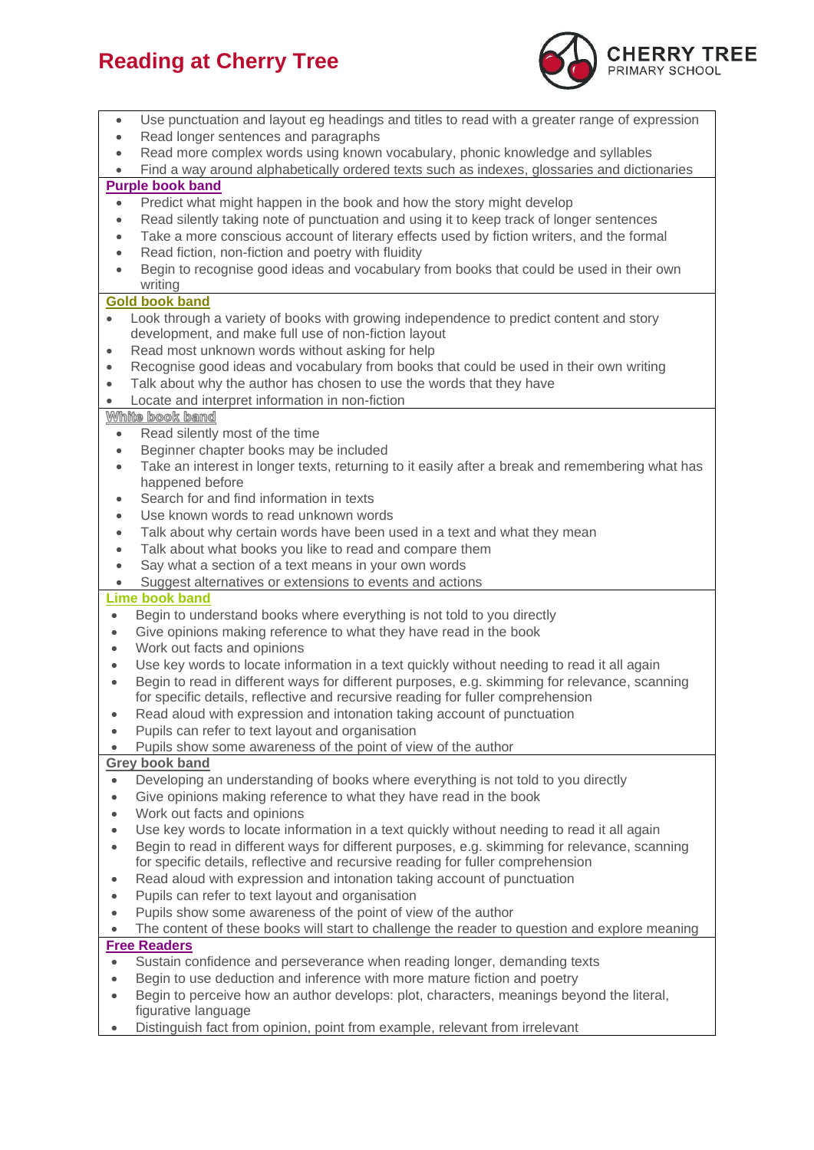# **Reading at Cherry Tree**



| $\bullet$                                                                          | Use punctuation and layout eg headings and titles to read with a greater range of expression                                                                                                |
|------------------------------------------------------------------------------------|---------------------------------------------------------------------------------------------------------------------------------------------------------------------------------------------|
| $\bullet$                                                                          | Read longer sentences and paragraphs                                                                                                                                                        |
| $\bullet$                                                                          | Read more complex words using known vocabulary, phonic knowledge and syllables                                                                                                              |
| $\bullet$                                                                          | Find a way around alphabetically ordered texts such as indexes, glossaries and dictionaries<br><b>Purple book band</b>                                                                      |
| Predict what might happen in the book and how the story might develop<br>$\bullet$ |                                                                                                                                                                                             |
| $\bullet$                                                                          | Read silently taking note of punctuation and using it to keep track of longer sentences                                                                                                     |
| $\bullet$                                                                          | Take a more conscious account of literary effects used by fiction writers, and the formal                                                                                                   |
| $\bullet$                                                                          | Read fiction, non-fiction and poetry with fluidity                                                                                                                                          |
| $\bullet$                                                                          | Begin to recognise good ideas and vocabulary from books that could be used in their own                                                                                                     |
|                                                                                    | writing                                                                                                                                                                                     |
| <b>Gold book band</b>                                                              |                                                                                                                                                                                             |
| $\bullet$                                                                          | Look through a variety of books with growing independence to predict content and story                                                                                                      |
|                                                                                    | development, and make full use of non-fiction layout                                                                                                                                        |
| $\bullet$                                                                          | Read most unknown words without asking for help                                                                                                                                             |
| $\bullet$                                                                          | Recognise good ideas and vocabulary from books that could be used in their own writing                                                                                                      |
| $\bullet$                                                                          | Talk about why the author has chosen to use the words that they have                                                                                                                        |
| $\bullet$                                                                          | Locate and interpret information in non-fiction                                                                                                                                             |
| $\bullet$                                                                          | White book band<br>Read silently most of the time                                                                                                                                           |
| $\bullet$                                                                          | Beginner chapter books may be included                                                                                                                                                      |
| $\bullet$                                                                          | Take an interest in longer texts, returning to it easily after a break and remembering what has                                                                                             |
|                                                                                    | happened before                                                                                                                                                                             |
| ۰                                                                                  | Search for and find information in texts                                                                                                                                                    |
| $\bullet$                                                                          | Use known words to read unknown words                                                                                                                                                       |
| $\bullet$                                                                          | Talk about why certain words have been used in a text and what they mean                                                                                                                    |
| $\bullet$                                                                          | Talk about what books you like to read and compare them                                                                                                                                     |
| $\bullet$                                                                          | Say what a section of a text means in your own words                                                                                                                                        |
| $\bullet$                                                                          | Suggest alternatives or extensions to events and actions                                                                                                                                    |
|                                                                                    | <b>Lime book band</b>                                                                                                                                                                       |
| $\bullet$                                                                          | Begin to understand books where everything is not told to you directly                                                                                                                      |
| $\bullet$                                                                          | Give opinions making reference to what they have read in the book                                                                                                                           |
| $\bullet$                                                                          | Work out facts and opinions                                                                                                                                                                 |
| $\bullet$                                                                          | Use key words to locate information in a text quickly without needing to read it all again<br>Begin to read in different ways for different purposes, e.g. skimming for relevance, scanning |
| $\bullet$                                                                          | for specific details, reflective and recursive reading for fuller comprehension                                                                                                             |
|                                                                                    | Read aloud with expression and intonation taking account of punctuation                                                                                                                     |
| $\bullet$                                                                          | Pupils can refer to text layout and organisation                                                                                                                                            |
|                                                                                    | Pupils show some awareness of the point of view of the author                                                                                                                               |
| <b>Grey book band</b>                                                              |                                                                                                                                                                                             |
| $\bullet$                                                                          | Developing an understanding of books where everything is not told to you directly                                                                                                           |
| $\bullet$                                                                          | Give opinions making reference to what they have read in the book                                                                                                                           |
| $\bullet$                                                                          | Work out facts and opinions                                                                                                                                                                 |
| $\bullet$                                                                          | Use key words to locate information in a text quickly without needing to read it all again                                                                                                  |
| $\bullet$                                                                          | Begin to read in different ways for different purposes, e.g. skimming for relevance, scanning                                                                                               |
|                                                                                    | for specific details, reflective and recursive reading for fuller comprehension                                                                                                             |
| ۰                                                                                  | Read aloud with expression and intonation taking account of punctuation                                                                                                                     |
| ٠                                                                                  | Pupils can refer to text layout and organisation                                                                                                                                            |
| $\bullet$<br>$\bullet$                                                             | Pupils show some awareness of the point of view of the author<br>The content of these books will start to challenge the reader to question and explore meaning                              |
| <b>Free Readers</b>                                                                |                                                                                                                                                                                             |
| $\bullet$                                                                          | Sustain confidence and perseverance when reading longer, demanding texts                                                                                                                    |
| $\bullet$                                                                          | Begin to use deduction and inference with more mature fiction and poetry                                                                                                                    |
|                                                                                    | Begin to perceive how an author develops: plot, characters, meanings beyond the literal,                                                                                                    |
|                                                                                    | figurative language                                                                                                                                                                         |
|                                                                                    | Distinguish fact from opinion, point from example, relevant from irrelevant                                                                                                                 |
|                                                                                    |                                                                                                                                                                                             |